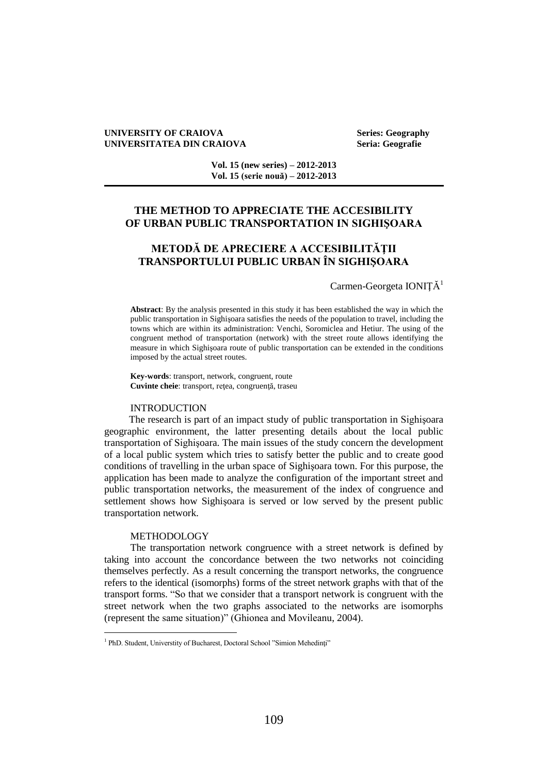### **UNIVERSITY OF CRAIOVA Series: Geography UNIVERSITATEA DIN CRAIOVA Seria: Geografie**

**Vol. 15 (new series) – 2012-2013 Vol. 15 (serie nouă) – 2012-2013**

# **THE METHOD TO APPRECIATE THE ACCESIBILITY OF URBAN PUBLIC TRANSPORTATION IN SIGHIŞOARA**

# **METODĂ DE APRECIERE A ACCESIBILITĂŢII TRANSPORTULUI PUBLIC URBAN ÎN SIGHIŞOARA**

## Carmen-Georgeta IONIȚĂ<sup>1</sup>

**Abstract**: By the analysis presented in this study it has been established the way in which the public transportation in Sighişoara satisfies the needs of the population to travel, including the towns which are within its administration: Venchi, Soromiclea and Hetiur. The using of the congruent method of transportation (network) with the street route allows identifying the measure in which Sighişoara route of public transportation can be extended in the conditions imposed by the actual street routes.

**Key-words**: transport, network, congruent, route **Cuvinte cheie**: transport, reţea, congruenţă, traseu

### INTRODUCTION

The research is part of an impact study of public transportation in Sighişoara geographic environment, the latter presenting details about the local public transportation of Sighişoara. The main issues of the study concern the development of a local public system which tries to satisfy better the public and to create good conditions of travelling in the urban space of Sighişoara town. For this purpose, the application has been made to analyze the configuration of the important street and public transportation networks, the measurement of the index of congruence and settlement shows how Sighişoara is served or low served by the present public transportation network.

### METHODOLOGY

 $\overline{a}$ 

The transportation network congruence with a street network is defined by taking into account the concordance between the two networks not coinciding themselves perfectly. As a result concerning the transport networks, the congruence refers to the identical (isomorphs) forms of the street network graphs with that of the transport forms. "So that we consider that a transport network is congruent with the street network when the two graphs associated to the networks are isomorphs (represent the same situation)" (Ghionea and Movileanu, 2004).

<sup>&</sup>lt;sup>1</sup> PhD. Student, Universtity of Bucharest, Doctoral School "Simion Mehedinți"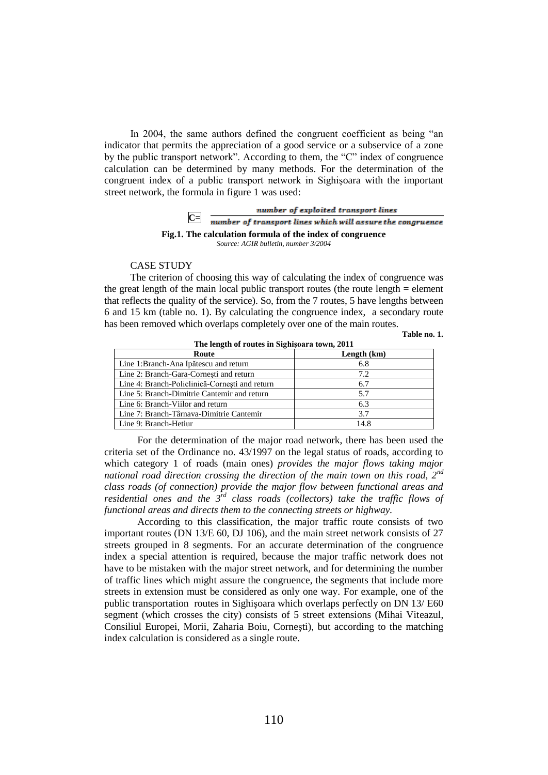In 2004, the same authors defined the congruent coefficient as being "an indicator that permits the appreciation of a good service or a subservice of a zone by the public transport network". According to them, the "C" index of congruence calculation can be determined by many methods. For the determination of the congruent index of a public transport network in Sighişoara with the important street network, the formula in figure 1 was used:



*Source: AGIR bulletin, number 3/2004*

### CASE STUDY

The criterion of choosing this way of calculating the index of congruence was the great length of the main local public transport routes (the route length = element that reflects the quality of the service). So, from the 7 routes, 5 have lengths between 6 and 15 km (table no. 1). By calculating the congruence index, a secondary route has been removed which overlaps completely over one of the main routes.

**Table no. 1.** 

| The length of Foutes in Signisoara town, 2011  |             |
|------------------------------------------------|-------------|
| Route                                          | Length (km) |
| Line 1:Branch-Ana Ipătescu and return          | 6.8         |
| Line 2: Branch-Gara-Cornesti and return        | 7.2         |
| Line 4: Branch-Policlinică-Cornesti and return | 6.7         |
| Line 5: Branch-Dimitrie Cantemir and return    | 5.7         |
| Line 6: Branch-Viilor and return               | 6.3         |
| Line 7: Branch-Târnava-Dimitrie Cantemir       | 3.7         |
| Line 9: Branch-Hetiur                          | 14.8        |

**The length of routes in Sighişoara town, 2011**

For the determination of the major road network, there has been used the criteria set of the Ordinance no. 43/1997 on the legal status of roads, according to which category 1 of roads (main ones) *provides the major flows taking major national road direction crossing the direction of the main town on this road, 2nd class roads (of connection) provide the major flow between functional areas and residential ones and the 3rd class roads (collectors) take the traffic flows of functional areas and directs them to the connecting streets or highway.* 

According to this classification, the major traffic route consists of two important routes (DN 13/E 60, DJ 106), and the main street network consists of 27 streets grouped in 8 segments. For an accurate determination of the congruence index a special attention is required, because the major traffic network does not have to be mistaken with the major street network, and for determining the number of traffic lines which might assure the congruence, the segments that include more streets in extension must be considered as only one way. For example, one of the public transportation routes in Sighişoara which overlaps perfectly on DN 13/ E60 segment (which crosses the city) consists of 5 street extensions (Mihai Viteazul, Consiliul Europei, Morii, Zaharia Boiu, Corneşti), but according to the matching index calculation is considered as a single route.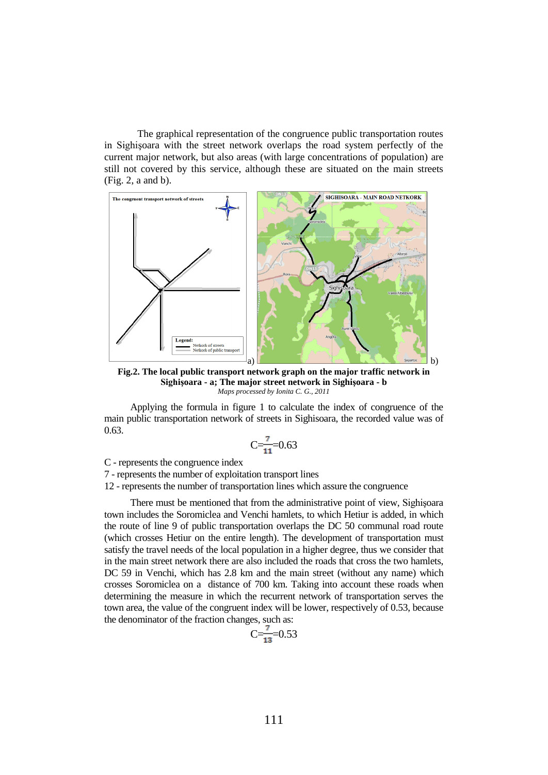The graphical representation of the congruence public transportation routes in Sighişoara with the street network overlaps the road system perfectly of the current major network, but also areas (with large concentrations of population) are still not covered by this service, although these are situated on the main streets (Fig. 2, a and b).



**Fig.2. The local public transport network graph on the major traffic network in Sighişoara - a; The major street network in Sighişoara - b** *Maps processed by Ionita C. G., 2011*

Applying the formula in figure 1 to calculate the index of congruence of the main public transportation network of streets in Sighisoara, the recorded value was of 0.63.

$$
C = \frac{7}{11} = 0.63
$$

C - represents the congruence index

7 - represents the number of exploitation transport lines

12 - represents the number of transportation lines which assure the congruence

There must be mentioned that from the administrative point of view, Sighişoara town includes the Soromiclea and Venchi hamlets, to which Hetiur is added, in which the route of line 9 of public transportation overlaps the DC 50 communal road route (which crosses Hetiur on the entire length). The development of transportation must satisfy the travel needs of the local population in a higher degree, thus we consider that in the main street network there are also included the roads that cross the two hamlets, DC 59 in Venchi, which has 2.8 km and the main street (without any name) which crosses Soromiclea on a distance of 700 km. Taking into account these roads when determining the measure in which the recurrent network of transportation serves the town area, the value of the congruent index will be lower, respectively of 0.53, because the denominator of the fraction changes, such as:

$$
C = \frac{7}{13} = 0.53
$$